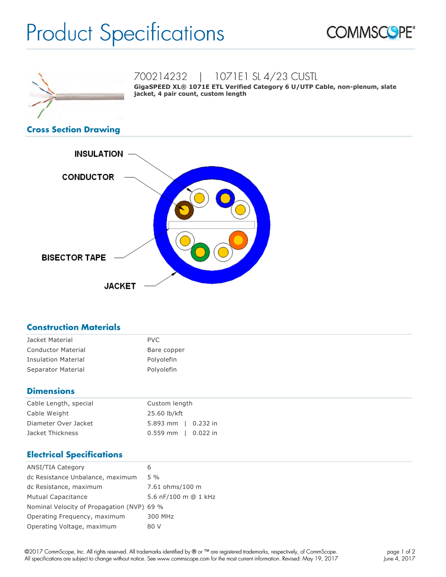# Product Specifications





700214232 | 1071E1 SL 4/23 CUSTL

**GigaSPEED XL® 1071E ETL Verified Category 6 U/UTP Cable, non-plenum, slate jacket, 4 pair count, custom length**

### **Cross Section Drawing**



## **Construction Materials**

| Jacket Material            | <b>PVC</b>  |
|----------------------------|-------------|
| <b>Conductor Material</b>  | Bare copper |
| <b>Insulation Material</b> | Polyolefin  |
| Separator Material         | Polyolefin  |

# **Dimensions**

| Cable Length, special | Custom length             |
|-----------------------|---------------------------|
| Cable Weight          | 25.60 lb/kft              |
| Diameter Over Jacket  | 5.893 mm $\vert$ 0.232 in |
| Jacket Thickness      | $0.559$ mm   0.022 in     |

# **Electrical Specifications**

| <b>ANSI/TIA Category</b>                   | 6                    |
|--------------------------------------------|----------------------|
| dc Resistance Unbalance, maximum           | $5\%$                |
| dc Resistance, maximum                     | 7.61 ohms/100 m      |
| <b>Mutual Capacitance</b>                  | 5.6 nF/100 m @ 1 kHz |
| Nominal Velocity of Propagation (NVP) 69 % |                      |
| Operating Frequency, maximum               | 300 MHz              |
| Operating Voltage, maximum                 | 80 V                 |
|                                            |                      |